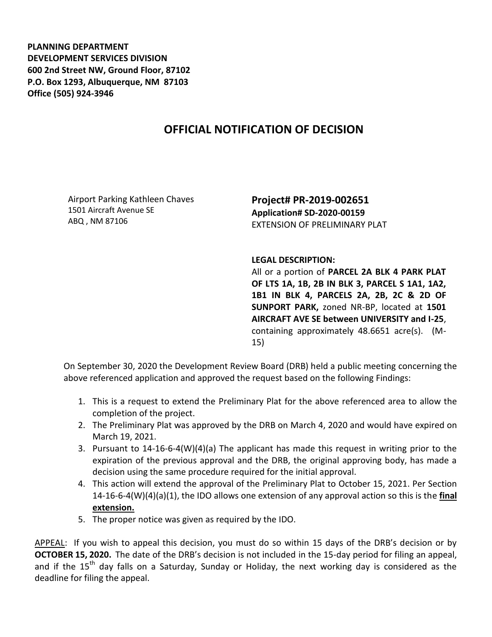**PLANNING DEPARTMENT DEVELOPMENT SERVICES DIVISION 600 2nd Street NW, Ground Floor, 87102 P.O. Box 1293, Albuquerque, NM 87103 Office (505) 924-3946** 

## **OFFICIAL NOTIFICATION OF DECISION**

Airport Parking Kathleen Chaves 1501 Aircraft Avenue SE ABQ , NM 87106

**Project# PR-2019-002651 Application# SD-2020-00159** EXTENSION OF PRELIMINARY PLAT

## **LEGAL DESCRIPTION:**

All or a portion of **PARCEL 2A BLK 4 PARK PLAT OF LTS 1A, 1B, 2B IN BLK 3, PARCEL S 1A1, 1A2, 1B1 IN BLK 4, PARCELS 2A, 2B, 2C & 2D OF SUNPORT PARK,** zoned NR-BP, located at **1501 AIRCRAFT AVE SE between UNIVERSITY and I-25**, containing approximately 48.6651 acre(s). (M-15)

On September 30, 2020 the Development Review Board (DRB) held a public meeting concerning the above referenced application and approved the request based on the following Findings:

- 1. This is a request to extend the Preliminary Plat for the above referenced area to allow the completion of the project.
- 2. The Preliminary Plat was approved by the DRB on March 4, 2020 and would have expired on March 19, 2021.
- 3. Pursuant to 14-16-6-4(W)(4)(a) The applicant has made this request in writing prior to the expiration of the previous approval and the DRB, the original approving body, has made a decision using the same procedure required for the initial approval.
- 4. This action will extend the approval of the Preliminary Plat to October 15, 2021. Per Section 14-16-6-4(W)(4)(a)(1), the IDO allows one extension of any approval action so this is the **final extension.**
- 5. The proper notice was given as required by the IDO.

APPEAL: If you wish to appeal this decision, you must do so within 15 days of the DRB's decision or by **OCTOBER 15, 2020.** The date of the DRB's decision is not included in the 15-day period for filing an appeal, and if the  $15<sup>th</sup>$  day falls on a Saturday, Sunday or Holiday, the next working day is considered as the deadline for filing the appeal.